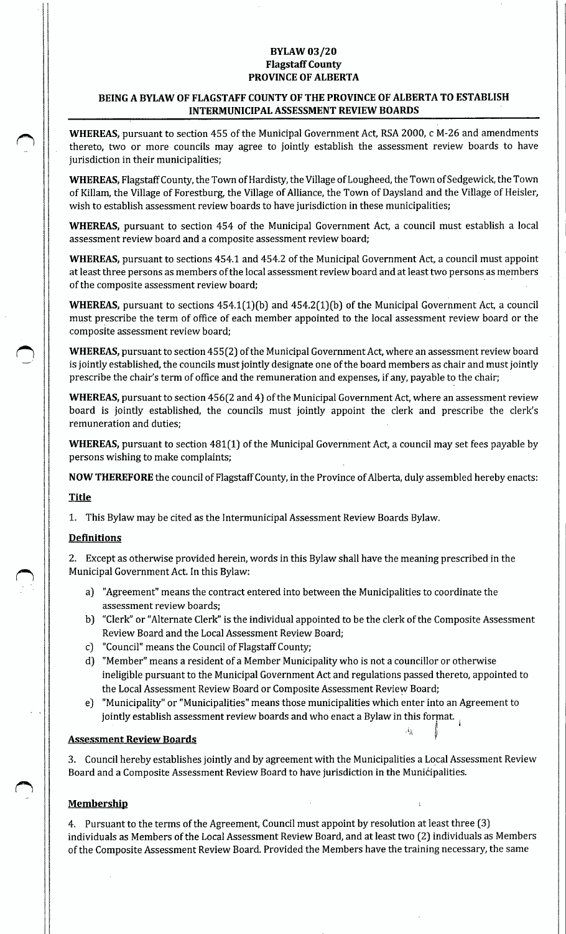## **BYLAW 03/20** Flagstaff County PROVINCE OF ALBERTA

# BEING A BYLAW OF FLAGSTAFF COUNTY OF THE PROVINCE OF ALBERTA TO ESTABLISH INTERMUNICIPAL ASSESSMENT REVIEW BOARDS

WHEREAS, pursuant to section 455 of the Municipal Government Act, RSA 2000, c M-26 and amendments thereto, two or more councils may agree to jointly establish the assessment review boards to have jurisdiction in their municipalities;

WHEREAS, Flagstaff County, the Town of Hardisty, the Village of Lougheed, the Town of Sedgewick, the Town of Killam, the Village of Forestburg, the Village of Alliance, the Town of Daysland and the Village of Heisler, wish to establish assessment review boards to have jurisdiction in these municipalities;

WHEREAS, pursuant to section 454 of the Municipal Government Act, a council must establish a local assessment review board and a composite assessment review board;

WHEREAS, pursuant to sections 454.1 and 454.2 of the Municipal Government Act, a council must appoint at least three persons as members of the local assessment review board and at least two persons as members of the composite assessment review board;

WHEREAS, pursuant to sections  $454.1(1)(b)$  and  $454.2(1)(b)$  of the Municipal Government Act, a council must prescribe the term of office of each member appointed to the local assessment review board or the composite assessment review board;

WHEREAS, pursuant to section 455(2) of the Municipal Government Act, where an assessment review board is jointly established, the councils must jointly designate one ofthe board members as chair and must jointly prescribe the chair's term of office and the remuneration and expenses, if any, payable to the chair;

WHEREAS, pursuant to section 456(2 and 4) of the Municipal Government Act, where an assessment review board is jointly established, the councils must jointly appoint the clerk and prescribe the clerk's remuneration and duties;

WHEREAS, pursuant to section 481(1) of the Municipal Government Act, a council may set fees payable by persons wishing to make complaints;

NOW THEREFORE the council of Flagstaff County, in the Province of Alberta, duly assembled hereby enacts:

### Title

1. This Bylaw may be cited as the Intermunicipal Assessment Review Boards Bylaw.

# **Definitions**

2. Except as otherwise provided herein, words in this Bylaw shall have the meaning prescribed in the Municipal Government Act. In this Bylaw:

- a) " Agreement" means the contract entered into between the Municipalities to coordinate the assessment review boards;
- b) "Clerk" or "Alternate Clerk" is the individual appointed to be the clerk of the Composite Assessment Review Board and the Local Assessment Review Board;
- c) " Council" means the Council of Flagstaff County;
- d) " Member" means a resident of a Member Municipality who is not a councillor or otherwise ineligible pursuant to the Municipal Government Act and regulations passed thereto, appointed to the Local Assessment Review Board or Composite Assessment Review Board;
- e) " Municipality" or "Municipalities" means those municipalities which enter into an Agreement to jointly establish assessment review boards and who enact a Bylaw in this format.  $\frac{1}{3}$

 $\mathbf{g}$  s

### Assessment Review Boards

3. Council hereby establishes jointly and by agreement with the Municipalities a Local Assessment Review Board and a Composite Assessment Review Board to have jurisdiction in the Municipalities.

# **Membership**

4. Pursuant to the terms of the Agreement, Council must appoint by resolution at Least three (3) individuals as Members of the Local Assessment Review Board, and at least two (2) individuals as Members of the Composite Assessment Review Board. Provided the Members have the training necessary, the same